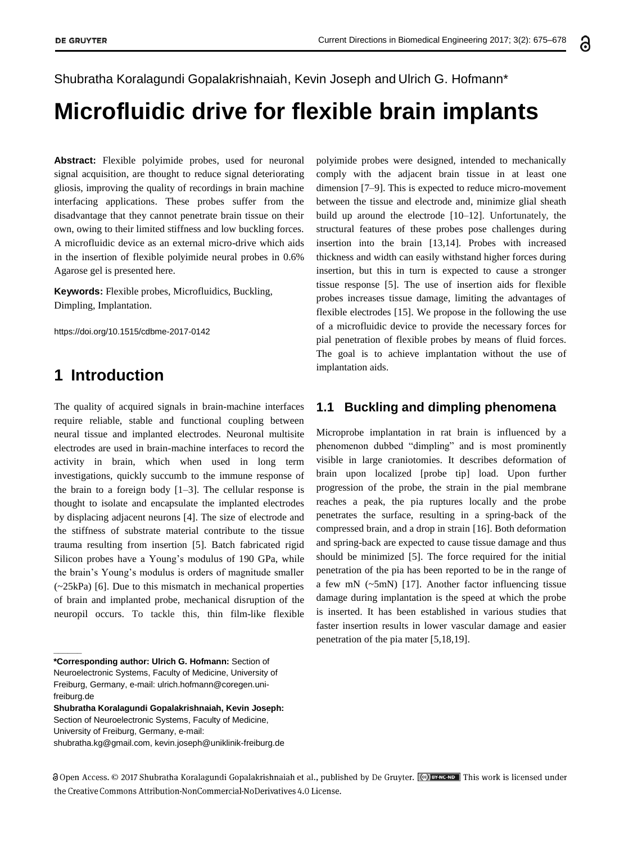Shubratha Koralagundi Gopalakrishnaiah, Kevin Joseph and Ulrich G. Hofmann\*

# **Microfluidic drive for flexible brain implants**

**Abstract:** Flexible polyimide probes, used for neuronal signal acquisition, are thought to reduce signal deteriorating gliosis, improving the quality of recordings in brain machine interfacing applications. These probes suffer from the disadvantage that they cannot penetrate brain tissue on their own, owing to their limited stiffness and low buckling forces. A microfluidic device as an external micro-drive which aids in the insertion of flexible polyimide neural probes in 0.6% Agarose gel is presented here.

**Keywords:** Flexible probes, Microfluidics, Buckling, Dimpling, Implantation.

https://doi.org/10.1515/cdbme-2017-0142

## **1 Introduction**

**\_\_\_\_\_\_**

The quality of acquired signals in brain-machine interfaces require reliable, stable and functional coupling between neural tissue and implanted electrodes. Neuronal multisite electrodes are used in brain-machine interfaces to record the activity in brain, which when used in long term investigations, quickly succumb to the immune response of the brain to a foreign body [1–3]. The cellular response is thought to isolate and encapsulate the implanted electrodes by displacing adjacent neurons [4]. The size of electrode and the stiffness of substrate material contribute to the tissue trauma resulting from insertion [5]. Batch fabricated rigid Silicon probes have a Young's modulus of 190 GPa, while the brain's Young's modulus is orders of magnitude smaller (~25kPa) [6]. Due to this mismatch in mechanical properties of brain and implanted probe, mechanical disruption of the neuropil occurs. To tackle this, thin film-like flexible

**\*Corresponding author: Ulrich G. Hofmann:** Section of Neuroelectronic Systems, Faculty of Medicine, University of Freiburg, Germany, e-mail[: ulrich.hofmann@coregen.uni](mailto:ulrich.hofmann@coregen.uni-freiburg.de)[freiburg.de](mailto:ulrich.hofmann@coregen.uni-freiburg.de)

**Shubratha Koralagundi Gopalakrishnaiah, Kevin Joseph:**  Section of Neuroelectronic Systems, Faculty of Medicine,

University of Freiburg, Germany, e-mail:

[shubratha.kg@gmail.com, kevin.j](mailto:shubratha.kg@gmail.com)oseph@uniklinik-freiburg.de

polyimide probes were designed, intended to mechanically comply with the adjacent brain tissue in at least one dimension [7–9]. This is expected to reduce micro-movement between the tissue and electrode and, minimize glial sheath build up around the electrode [10–12]. Unfortunately, the structural features of these probes pose challenges during insertion into the brain [13,14]. Probes with increased thickness and width can easily withstand higher forces during insertion, but this in turn is expected to cause a stronger tissue response [5]. The use of insertion aids for flexible probes increases tissue damage, limiting the advantages of flexible electrodes [15]. We propose in the following the use of a microfluidic device to provide the necessary forces for pial penetration of flexible probes by means of fluid forces. The goal is to achieve implantation without the use of implantation aids.

#### **1.1 Buckling and dimpling phenomena**

Microprobe implantation in rat brain is influenced by a phenomenon dubbed "dimpling" and is most prominently visible in large craniotomies. It describes deformation of brain upon localized [probe tip] load. Upon further progression of the probe, the strain in the pial membrane reaches a peak, the pia ruptures locally and the probe penetrates the surface, resulting in a spring-back of the compressed brain, and a drop in strain [16]. Both deformation and spring-back are expected to cause tissue damage and thus should be minimized [5]. The force required for the initial penetration of the pia has been reported to be in the range of a few mN (~5mN) [17]. Another factor influencing tissue damage during implantation is the speed at which the probe is inserted. It has been established in various studies that faster insertion results in lower vascular damage and easier penetration of the pia mater [5,18,19].

a Open Access. © 2017 Shubratha Koralagundi Gopalakrishnaiah et al., published by De Gruyter. (<a> Exercise 1</a> This work is licensed under the Creative Commons Attribution-NonCommercial-NoDerivatives 4.0 License.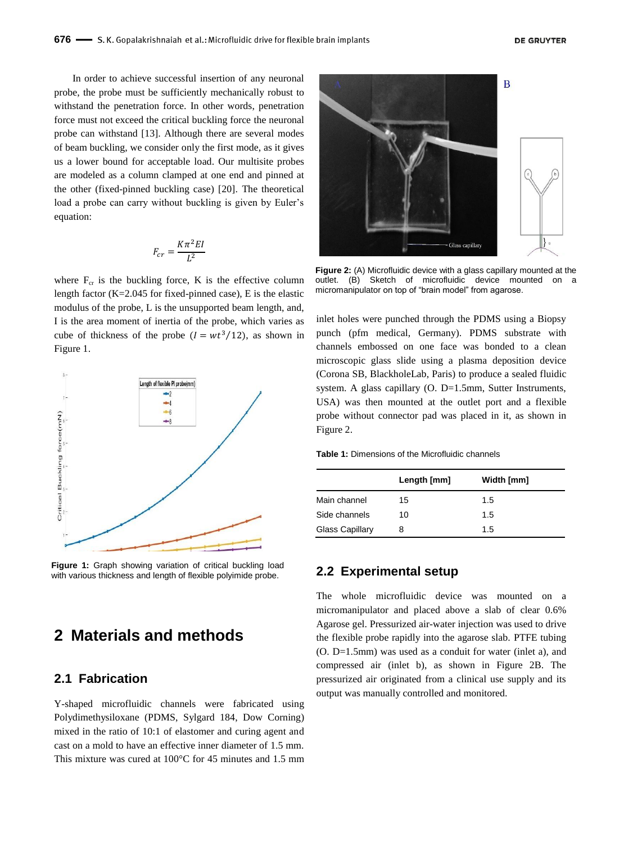In order to achieve successful insertion of any neuronal probe, the probe must be sufficiently mechanically robust to withstand the penetration force. In other words, penetration force must not exceed the critical buckling force the neuronal probe can withstand [13]. Although there are several modes of beam buckling, we consider only the first mode, as it gives us a lower bound for acceptable load. Our multisite probes are modeled as a column clamped at one end and pinned at the other (fixed-pinned buckling case) [20]. The theoretical load a probe can carry without buckling is given by Euler's equation:

$$
F_{cr}=\frac{K\pi^2EI}{L^2}
$$

where  $F_{cr}$  is the buckling force, K is the effective column length factor (K=2.045 for fixed-pinned case), E is the elastic modulus of the probe, L is the unsupported beam length, and, I is the area moment of inertia of the probe, which varies as cube of thickness of the probe  $(I = wt^3/12)$ , as shown in Figure 1.



**Figure 1:** Graph showing variation of critical buckling load with various thickness and length of flexible polyimide probe.

# **2 Materials and methods**

### **2.1 Fabrication**

Y-shaped microfluidic channels were fabricated using Polydimethysiloxane (PDMS, Sylgard 184, Dow Corning) mixed in the ratio of 10:1 of elastomer and curing agent and cast on a mold to have an effective inner diameter of 1.5 mm. This mixture was cured at 100°C for 45 minutes and 1.5 mm



**Figure 2:** (A) Microfluidic device with a glass capillary mounted at the outlet. (B) Sketch of microfluidic device mounted on micromanipulator on top of "brain model" from agarose.

inlet holes were punched through the PDMS using a Biopsy punch (pfm medical, Germany). PDMS substrate with channels embossed on one face was bonded to a clean microscopic glass slide using a plasma deposition device (Corona SB, BlackholeLab, Paris) to produce a sealed fluidic system. A glass capillary (O. D=1.5mm, Sutter Instruments, USA) was then mounted at the outlet port and a flexible probe without connector pad was placed in it, as shown in Figure 2.

**Table 1:** Dimensions of the Microfluidic channels

|                        | Length [mm] | Width [mm] |
|------------------------|-------------|------------|
| Main channel           | 15          | 1.5        |
| Side channels          | 10          | 1.5        |
| <b>Glass Capillary</b> | 8           | 1.5        |

#### **2.2 Experimental setup**

The whole microfluidic device was mounted on a micromanipulator and placed above a slab of clear 0.6% Agarose gel. Pressurized air-water injection was used to drive the flexible probe rapidly into the agarose slab. PTFE tubing (O. D=1.5mm) was used as a conduit for water (inlet a), and compressed air (inlet b), as shown in Figure 2B. The pressurized air originated from a clinical use supply and its output was manually controlled and monitored.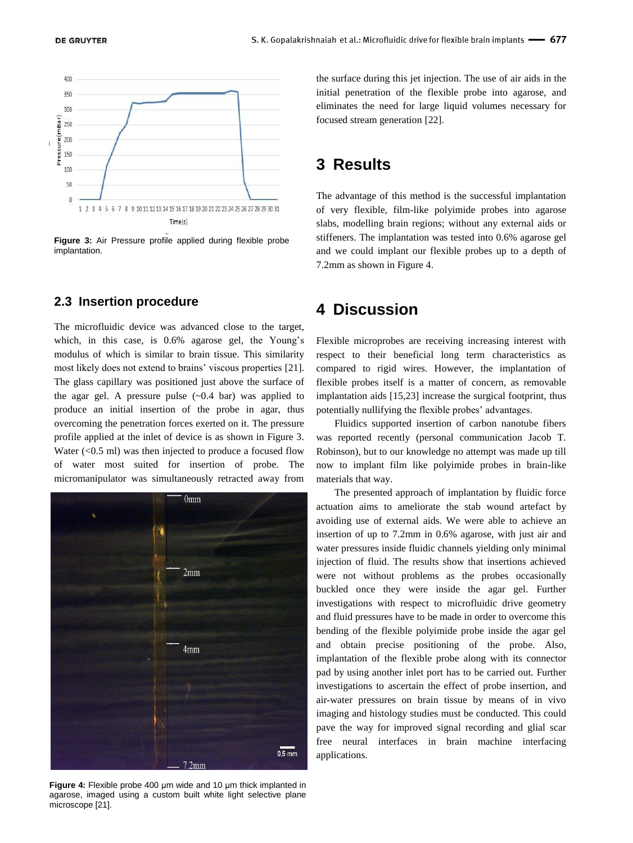

**Figure 3:** Air Pressure profile applied during flexible probe implantation.

#### **2.3 Insertion procedure**

The microfluidic device was advanced close to the target, which, in this case, is 0.6% agarose gel, the Young's modulus of which is similar to brain tissue. This similarity most likely does not extend to brains' viscous properties [21]. The glass capillary was positioned just above the surface of the agar gel. A pressure pulse  $(-0.4 \text{ bar})$  was applied to produce an initial insertion of the probe in agar, thus overcoming the penetration forces exerted on it. The pressure profile applied at the inlet of device is as shown in Figure 3. Water  $( $0.5 \text{ ml}$ ) was then injected to produce a focused flow$ of water most suited for insertion of probe. The micromanipulator was simultaneously retracted away from



**Figure 4:** Flexible probe 400 μm wide and 10 μm thick implanted in agarose, imaged using a custom built white light selective plane microscope [21].

the surface during this jet injection. The use of air aids in the initial penetration of the flexible probe into agarose, and eliminates the need for large liquid volumes necessary for focused stream generation [22].

## **3 Results**

The advantage of this method is the successful implantation of very flexible, film-like polyimide probes into agarose slabs, modelling brain regions; without any external aids or stiffeners. The implantation was tested into 0.6% agarose gel and we could implant our flexible probes up to a depth of 7.2mm as shown in Figure 4.

## **4 Discussion**

Flexible microprobes are receiving increasing interest with respect to their beneficial long term characteristics as compared to rigid wires. However, the implantation of flexible probes itself is a matter of concern, as removable implantation aids [15,23] increase the surgical footprint, thus potentially nullifying the flexible probes' advantages.

Fluidics supported insertion of carbon nanotube fibers was reported recently (personal communication Jacob T. Robinson), but to our knowledge no attempt was made up till now to implant film like polyimide probes in brain-like materials that way.

The presented approach of implantation by fluidic force actuation aims to ameliorate the stab wound artefact by avoiding use of external aids. We were able to achieve an insertion of up to 7.2mm in 0.6% agarose, with just air and water pressures inside fluidic channels yielding only minimal injection of fluid. The results show that insertions achieved were not without problems as the probes occasionally buckled once they were inside the agar gel. Further investigations with respect to microfluidic drive geometry and fluid pressures have to be made in order to overcome this bending of the flexible polyimide probe inside the agar gel and obtain precise positioning of the probe. Also, implantation of the flexible probe along with its connector pad by using another inlet port has to be carried out. Further investigations to ascertain the effect of probe insertion, and air-water pressures on brain tissue by means of in vivo imaging and histology studies must be conducted. This could pave the way for improved signal recording and glial scar free neural interfaces in brain machine interfacing applications.